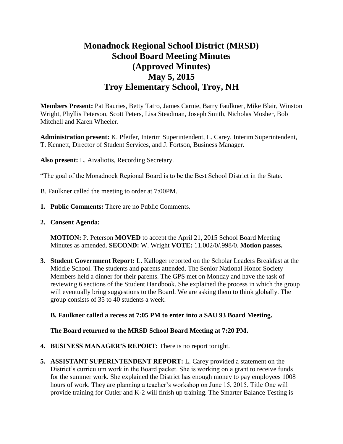# **Monadnock Regional School District (MRSD) School Board Meeting Minutes (Approved Minutes) May 5, 2015 Troy Elementary School, Troy, NH**

**Members Present:** Pat Bauries, Betty Tatro, James Carnie, Barry Faulkner, Mike Blair, Winston Wright, Phyllis Peterson, Scott Peters, Lisa Steadman, Joseph Smith, Nicholas Mosher, Bob Mitchell and Karen Wheeler.

**Administration present:** K. Pfeifer, Interim Superintendent, L. Carey, Interim Superintendent, T. Kennett, Director of Student Services, and J. Fortson, Business Manager.

**Also present:** L. Aivaliotis, Recording Secretary.

"The goal of the Monadnock Regional Board is to be the Best School District in the State.

- B. Faulkner called the meeting to order at 7:00PM.
- **1. Public Comments:** There are no Public Comments.
- **2. Consent Agenda:**

**MOTION:** P. Peterson **MOVED** to accept the April 21, 2015 School Board Meeting Minutes as amended. **SECOND:** W. Wright **VOTE:** 11.002/0/.998/0. **Motion passes.** 

**3. Student Government Report:** L. Kalloger reported on the Scholar Leaders Breakfast at the Middle School. The students and parents attended. The Senior National Honor Society Members held a dinner for their parents. The GPS met on Monday and have the task of reviewing 6 sections of the Student Handbook. She explained the process in which the group will eventually bring suggestions to the Board. We are asking them to think globally. The group consists of 35 to 40 students a week.

## **B. Faulkner called a recess at 7:05 PM to enter into a SAU 93 Board Meeting.**

## **The Board returned to the MRSD School Board Meeting at 7:20 PM.**

- **4. BUSINESS MANAGER'S REPORT:** There is no report tonight.
- **5. ASSISTANT SUPERINTENDENT REPORT:** L. Carey provided a statement on the District's curriculum work in the Board packet. She is working on a grant to receive funds for the summer work. She explained the District has enough money to pay employees 1008 hours of work. They are planning a teacher's workshop on June 15, 2015. Title One will provide training for Cutler and K-2 will finish up training. The Smarter Balance Testing is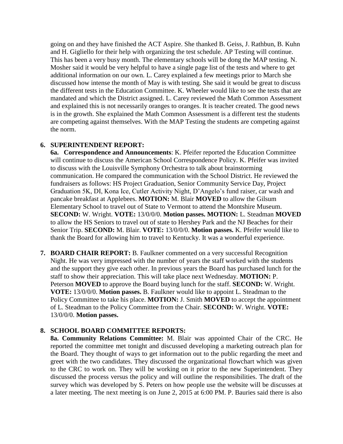going on and they have finished the ACT Aspire. She thanked B. Geiss, J. Rathbun, B. Kuhn and H. Gigliello for their help with organizing the test schedule. AP Testing will continue. This has been a very busy month. The elementary schools will be dong the MAP testing. N. Mosher said it would be very helpful to have a single page list of the tests and where to get additional information on our own. L. Carey explained a few meetings prior to March she discussed how intense the month of May is with testing. She said it would be great to discuss the different tests in the Education Committee. K. Wheeler would like to see the tests that are mandated and which the District assigned. L. Carey reviewed the Math Common Assessment and explained this is not necessarily oranges to oranges. It is teacher created. The good news is in the growth. She explained the Math Common Assessment is a different test the students are competing against themselves. With the MAP Testing the students are competing against the norm.

## **6. SUPERINTENDENT REPORT:**

**6a. Correspondence and Announcements**: K. Pfeifer reported the Education Committee will continue to discuss the American School Correspondence Policy. K. Pfeifer was invited to discuss with the Louisville Symphony Orchestra to talk about brainstorming communication. He compared the communication with the School District. He reviewed the fundraisers as follows: HS Project Graduation, Senior Community Service Day, Project Graduation 5K, DI, Kona Ice, Cutler Activity Night, D'Angelo's fund raiser, car wash and pancake breakfast at Applebees. **MOTION:** M. Blair **MOVED** to allow the Gilsum Elementary School to travel out of State to Vermont to attend the Montshire Museum. **SECOND:** W. Wright. **VOTE:** 13/0/0/0. **Motion passes. MOTION:** L. Steadman **MOVED**  to allow the HS Seniors to travel out of state to Hershey Park and the NJ Beaches for their Senior Trip. **SECOND:** M. Blair. **VOTE:** 13/0/0/0. **Motion passes.** K. Pfeifer would like to thank the Board for allowing him to travel to Kentucky. It was a wonderful experience.

**7. BOARD CHAIR REPORT:** B. Faulkner commented on a very successful Recognition Night. He was very impressed with the number of years the staff worked with the students and the support they give each other. In previous years the Board has purchased lunch for the staff to show their appreciation. This will take place next Wednesday. **MOTION:** P. Peterson **MOVED** to approve the Board buying lunch for the staff. **SECOND:** W. Wright. **VOTE:** 13/0/0/0. **Motion passes.** B. Faulkner would like to appoint L. Steadman to the Policy Committee to take his place. **MOTION:** J. Smith **MOVED** to accept the appointment of L. Steadman to the Policy Committee from the Chair. **SECOND:** W. Wright. **VOTE:**  13/0/0/0. **Motion passes.** 

## **8. SCHOOL BOARD COMMITTEE REPORTS:**

**8a. Community Relations Committee:** M. Blair was appointed Chair of the CRC. He reported the committee met tonight and discussed developing a marketing outreach plan for the Board. They thought of ways to get information out to the public regarding the meet and greet with the two candidates. They discussed the organizational flowchart which was given to the CRC to work on. They will be working on it prior to the new Superintendent. They discussed the process versus the policy and will outline the responsibilities. The draft of the survey which was developed by S. Peters on how people use the website will be discusses at a later meeting. The next meeting is on June 2, 2015 at 6:00 PM. P. Bauries said there is also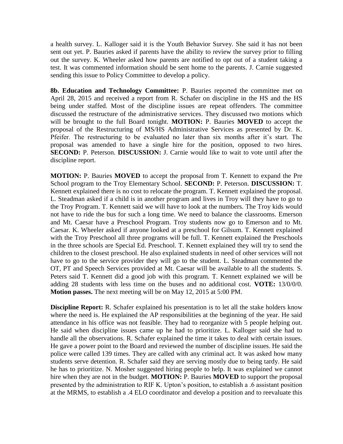a health survey. L. Kalloger said it is the Youth Behavior Survey. She said it has not been sent out yet. P. Bauries asked if parents have the ability to review the survey prior to filling out the survey. K. Wheeler asked how parents are notified to opt out of a student taking a test. It was commented information should be sent home to the parents. J. Carnie suggested sending this issue to Policy Committee to develop a policy.

 **8b. Education and Technology Committee:** P. Bauries reported the committee met on April 28, 2015 and received a report from R. Schafer on discipline in the HS and the HS being under staffed. Most of the discipline issues are repeat offenders. The committee discussed the restructure of the administrative services. They discussed two motions which will be brought to the full Board tonight. **MOTION:** P. Bauries **MOVED** to accept the proposal of the Restructuring of MS/HS Administrative Services as presented by Dr. K. Pfeifer. The restructuring to be evaluated no later than six months after it's start. The proposal was amended to have a single hire for the position, opposed to two hires. **SECOND:** P. Peterson. **DISCUSSION:** J. Carnie would like to wait to vote until after the discipline report.

 **MOTION:** P. Bauries **MOVED** to accept the proposal from T. Kennett to expand the Pre School program to the Troy Elementary School. **SECOND:** P. Peterson. **DISCUSSION:** T. Kennett explained there is no cost to relocate the program. T. Kennett explained the proposal. L. Steadman asked if a child is in another program and lives in Troy will they have to go to the Troy Program. T. Kennett said we will have to look at the numbers. The Troy kids would not have to ride the bus for such a long time. We need to balance the classrooms. Emerson and Mt. Caesar have a Preschool Program. Troy students now go to Emerson and to Mt. Caesar. K. Wheeler asked if anyone looked at a preschool for Gilsum. T. Kennett explained with the Troy Preschool all three programs will be full. T. Kennett explained the Preschools in the three schools are Special Ed. Preschool. T. Kennett explained they will try to send the children to the closest preschool. He also explained students in need of other services will not have to go to the service provider they will go to the student. L. Steadman commented the OT, PT and Speech Services provided at Mt. Caesar will be available to all the students. S. Peters said T. Kennett did a good job with this program. T. Kennett explained we will be adding 28 students with less time on the buses and no additional cost. **VOTE:** 13/0/0/0. **Motion passes.** The next meeting will be on May 12, 2015 at 5:00 PM.

**Discipline Report:** R. Schafer explained his presentation is to let all the stake holders know where the need is. He explained the AP responsibilities at the beginning of the year. He said attendance in his office was not feasible. They had to reorganize with 5 people helping out. He said when discipline issues came up he had to prioritize. L. Kalloger said she had to handle all the observations. R. Schafer explained the time it takes to deal with certain issues. He gave a power point to the Board and reviewed the number of discipline issues. He said the police were called 139 times. They are called with any criminal act. It was asked how many students serve detention. R. Schafer said they are serving mostly due to being tardy. He said he has to prioritize. N. Mosher suggested hiring people to help. It was explained we cannot hire when they are not in the budget. **MOTION:** P. Bauries **MOVED** to support the proposal presented by the administration to RIF K. Upton's position, to establish a .6 assistant position at the MRMS, to establish a .4 ELO coordinator and develop a position and to reevaluate this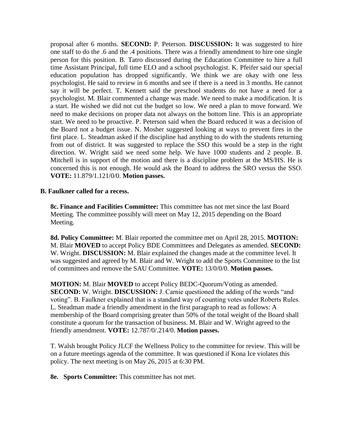proposal after 6 months. **SECOND:** P. Peterson. **DISCUSSION:** It was suggested to hire one staff to do the .6 and the .4 positions. There was a friendly amendment to hire one single person for this position. B. Tatro discussed during the Education Committee to hire a full time Assistant Principal, full time ELO and a school psychologist. K. Pfeifer said our special education population has dropped significantly. We think we are okay with one less psychologist. He said to review in 6 months and see if there is a need in 3 months. He cannot say it will be perfect. T. Kennett said the preschool students do not have a need for a psychologist. M. Blair commented a change was made. We need to make a modification. It is a start. He wished we did not cut the budget so low. We need a plan to move forward. We need to make decisions on proper data not always on the bottom line. This is an appropriate start. We need to be proactive. P. Peterson said when the Board reduced it was a decision of the Board not a budget issue. N. Mosher suggested looking at ways to prevent fires in the first place. L. Steadman asked if the discipline had anything to do with the students returning from out of district. It was suggested to replace the SSO this would be a step in the right direction. W. Wright said we need some help. We have 1000 students and 2 people. B. Mitchell is in support of the motion and there is a discipline problem at the MS/HS. He is concerned this is not enough. He would ask the Board to address the SRO versus the SSO. **VOTE:** 11.879/1.121/0/0. **Motion passes.** 

## **B. Faulkner called for a recess.**

 **8c. Finance and Facilities Committee:** This committee has not met since the last Board Meeting. The committee possibly will meet on May 12, 2015 depending on the Board Meeting.

**8d. Policy Committee:** M. Blair reported the committee met on April 28, 2015. **MOTION:**  M. Blair **MOVED** to accept Policy BDE Committees and Delegates as amended. **SECOND:**  W. Wright. **DISCUSSION:** M. Blair explained the changes made at the committee level. It was suggested and agreed by M. Blair and W. Wright to add the Sports Committee to the list of committees and remove the SAU Committee. **VOTE:** 13/0/0/0. **Motion passes.** 

**MOTION:** M. Blair **MOVED** to accept Policy BEDC-Quorum/Voting as amended. **SECOND:** W. Wright. **DISCUSSION:** J. Carnie questioned the adding of the words "and voting". B. Faulkner explained that is a standard way of counting votes under Roberts Rules. L. Steadman made a friendly amendment in the first paragraph to read as follows: A membership of the Board comprising greater than 50% of the total weight of the Board shall constitute a quorum for the transaction of business. M. Blair and W. Wright agreed to the friendly amendment. **VOTE:** 12.787/0/.214/0. **Motion passes.** 

T. Walsh brought Policy JLCF the Wellness Policy to the committee for review. This will be on a future meetings agenda of the committee. It was questioned if Kona Ice violates this policy. The next meeting is on May 26, 2015 at 6:30 PM.

 **8e. Sports Committee:** This committee has not met.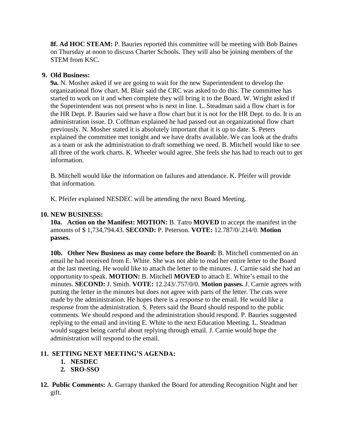**8f. Ad HOC STEAM:** P. Bauries reported this committee will be meeting with Bob Baines on Thursday at noon to discuss Charter Schools. They will also be joining members of the STEM from KSC.

## **9. Old Business:**

 **9a.** N. Mosher asked if we are going to wait for the new Superintendent to develop the organizational flow chart. M. Blair said the CRC was asked to do this. The committee has started to work on it and when complete they will bring it to the Board. W. Wright asked if the Superintendent was not present who is next in line. L. Steadman said a flow chart is for the HR Dept. P. Bauries said we have a flow chart but it is not for the HR Dept. to do. It is an administration issue. D. Coffman explained he had passed out an organizational flow chart previously. N. Mosher stated it is absolutely important that it is up to date. S. Peters explained the committee met tonight and we have drafts available. We can look at the drafts as a team or ask the administration to draft something we need. B. Mitchell would like to see all three of the work charts. K. Wheeler would agree. She feels she has had to reach out to get information.

B. Mitchell would like the information on failures and attendance. K. Pfeifer will provide that information.

K. Pfeifer explained NESDEC will be attending the next Board Meeting.

# **10. NEW BUSINESS:**

**10a. Action on the Manifest: MOTION:** B. Tatro **MOVED** to accept the manifest in the amounts of \$ 1,734,794.43. **SECOND:** P. Peterson. **VOTE:** 12.787/0/.214/0. **Motion passes.** 

**10b. Other New Business as may come before the Board:** B. Mitchell commented on an email he had received from E. White. She was not able to read her entire letter to the Board at the last meeting. He would like to attach the letter to the minutes. J. Carnie said she had an opportunity to speak. **MOTION:** B. Mitchell **MOVED** to attach E. White's email to the minutes. **SECOND:** J. Smith. **VOTE:** 12.243/.757/0/0. **Motion passes.** J. Carnie agrees with putting the letter in the minutes but does not agree with parts of the letter. The cuts were made by the administration. He hopes there is a response to the email. He would like a response from the administration. S. Peters said the Board should respond to the public comments. We should respond and the administration should respond. P. Bauries suggested replying to the email and inviting E. White to the next Education Meeting. L. Steadman would suggest being careful about replying through email. J. Carnie would hope the administration will respond to the email.

# **11. SETTING NEXT MEETING'S AGENDA:**

- **1. NESDEC**
- **2. SRO-SSO**
- **12. Public Comments:** A. Garrapy thanked the Board for attending Recognition Night and her gift.